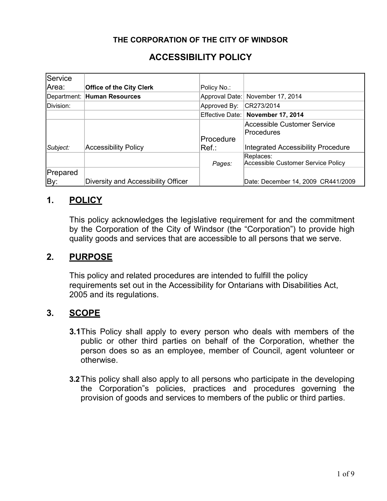## **THE CORPORATION OF THE CITY OF WINDSOR**

# **ACCESSIBILITY POLICY**

| Service   |                                     |                 |                                                  |
|-----------|-------------------------------------|-----------------|--------------------------------------------------|
| Area:     | <b>Office of the City Clerk</b>     | Policy No.:     |                                                  |
|           | Department: Human Resources         | Approval Date:  | November 17, 2014                                |
| Division: |                                     | Approved By:    | CR273/2014                                       |
|           |                                     | Effective Date: | <b>November 17, 2014</b>                         |
|           |                                     | Procedure       | <b>Accessible Customer Service</b><br>Procedures |
| Subject:  | <b>Accessibility Policy</b>         | lRef.:          | <b>Integrated Accessibility Procedure</b>        |
|           |                                     | Pages:          | Replaces:<br>Accessible Customer Service Policy  |
| Prepared  |                                     |                 |                                                  |
| By:       | Diversity and Accessibility Officer |                 | Date: December 14, 2009 CR441/2009               |

## **1. POLICY**

This policy acknowledges the legislative requirement for and the commitment by the Corporation of the City of Windsor (the "Corporation") to provide high quality goods and services that are accessible to all persons that we serve.

## **2. PURPOSE**

This policy and related procedures are intended to fulfill the policy requirements set out in the Accessibility for Ontarians with Disabilities Act, 2005 and its regulations.

## **3. SCOPE**

- **3.1**This Policy shall apply to every person who deals with members of the public or other third parties on behalf of the Corporation, whether the person does so as an employee, member of Council, agent volunteer or otherwise.
- **3.2**This policy shall also apply to all persons who participate in the developing the Corporation"s policies, practices and procedures governing the provision of goods and services to members of the public or third parties.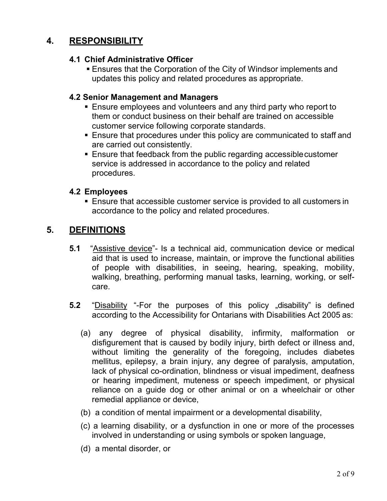# **4. RESPONSIBILITY**

## **4.1 Chief Administrative Officer**

**Ensures that the Corporation of the City of Windsor implements and** updates this policy and related procedures as appropriate.

## **4.2 Senior Management and Managers**

- **Ensure employees and volunteers and any third party who report to** them or conduct business on their behalf are trained on accessible customer service following corporate standards.
- Ensure that procedures under this policy are communicated to staff and are carried out consistently.
- Ensure that feedback from the public regarding accessiblecustomer service is addressed in accordance to the policy and related procedures.

## **4.2 Employees**

■ Ensure that accessible customer service is provided to all customers in accordance to the policy and related procedures.

# **5. DEFINITIONS**

- **5.1** "Assistive device"- Is a technical aid, communication device or medical aid that is used to increase, maintain, or improve the functional abilities of people with disabilities, in seeing, hearing, speaking, mobility, walking, breathing, performing manual tasks, learning, working, or selfcare.
- **5.2** "Disability "-For the purposes of this policy "disability" is defined according to the Accessibility for Ontarians with Disabilities Act 2005 as:
	- (a) any degree of physical disability, infirmity, malformation or disfigurement that is caused by bodily injury, birth defect or illness and, without limiting the generality of the foregoing, includes diabetes mellitus, epilepsy, a brain injury, any degree of paralysis, amputation, lack of physical co-ordination, blindness or visual impediment, deafness or hearing impediment, muteness or speech impediment, or physical reliance on a guide dog or other animal or on a wheelchair or other remedial appliance or device,
	- (b) a condition of mental impairment or a developmental disability,
	- (c) a learning disability, or a dysfunction in one or more of the processes involved in understanding or using symbols or spoken language,
	- (d) a mental disorder, or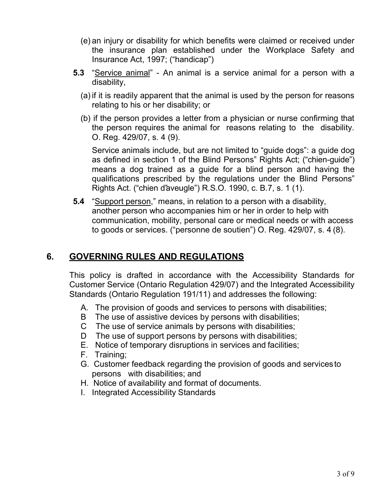- (e) an injury or disability for which benefits were claimed or received under the insurance plan established under the Workplace Safety and Insurance Act, 1997; ("handicap")
- **5.3** "Service animal" An animal is a service animal for a person with a disability,
	- (a) if it is readily apparent that the animal is used by the person for reasons relating to his or her disability; or
	- (b) if the person provides a letter from a physician or nurse confirming that the person requires the animal for reasons relating to the disability. O. Reg. 429/07, s. 4 (9).

Service animals include, but are not limited to "guide dogs": a guide dog as defined in section 1 of the Blind Persons" Rights Act; ("chien-guide") means a dog trained as a guide for a blind person and having the qualifications prescribed by the regulations under the Blind Persons" Rights Act. ("chien d"aveugle") R.S.O. 1990, c. B.7, s. 1 (1).

**5.4** "Support person," means, in relation to a person with a disability, another person who accompanies him or her in order to help with communication, mobility, personal care or medical needs or with access to goods or services. ("personne de soutien") O. Reg. 429/07, s. 4 (8).

# **6. GOVERNING RULES AND REGULATIONS**

This policy is drafted in accordance with the Accessibility Standards for Customer Service (Ontario Regulation 429/07) and the Integrated Accessibility Standards (Ontario Regulation 191/11) and addresses the following:

- A. The provision of goods and services to persons with disabilities;
- B The use of assistive devices by persons with disabilities;
- C The use of service animals by persons with disabilities;
- D The use of support persons by persons with disabilities;
- E. Notice of temporary disruptions in services and facilities;
- F. Training;
- G. Customer feedback regarding the provision of goods and servicesto persons with disabilities; and
- H. Notice of availability and format of documents.
- I. Integrated Accessibility Standards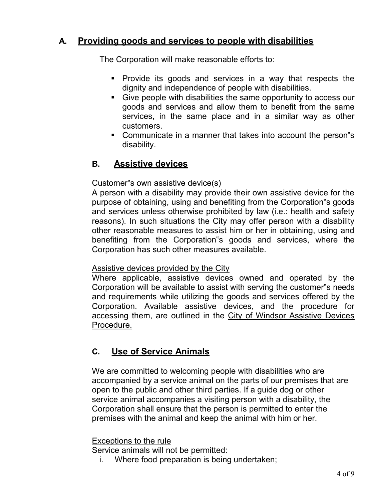# **A. Providing goods and services to people with disabilities**

The Corporation will make reasonable efforts to:

- Provide its goods and services in a way that respects the dignity and independence of people with disabilities.
- Give people with disabilities the same opportunity to access our goods and services and allow them to benefit from the same services, in the same place and in a similar way as other customers.
- Communicate in a manner that takes into account the person"s disability.

# **B. Assistive devices**

## Customer"s own assistive device(s)

A person with a disability may provide their own assistive device for the purpose of obtaining, using and benefiting from the Corporation"s goods and services unless otherwise prohibited by law (i.e.: health and safety reasons). In such situations the City may offer person with a disability other reasonable measures to assist him or her in obtaining, using and benefiting from the Corporation"s goods and services, where the Corporation has such other measures available.

## Assistive devices provided by the City

Where applicable, assistive devices owned and operated by the Corporation will be available to assist with serving the customer"s needs and requirements while utilizing the goods and services offered by the Corporation. Available assistive devices, and the procedure for accessing them, are outlined in the City of Windsor Assistive Devices Procedure.

## **C. Use of Service Animals**

We are committed to welcoming people with disabilities who are accompanied by a service animal on the parts of our premises that are open to the public and other third parties. If a guide dog or other service animal accompanies a visiting person with a disability, the Corporation shall ensure that the person is permitted to enter the premises with the animal and keep the animal with him or her.

#### Exceptions to the rule

Service animals will not be permitted:

i. Where food preparation is being undertaken;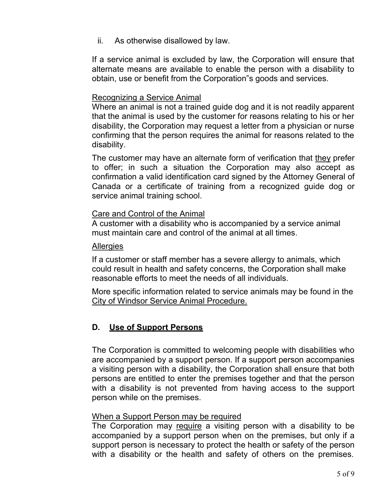ii. As otherwise disallowed by law.

If a service animal is excluded by law, the Corporation will ensure that alternate means are available to enable the person with a disability to obtain, use or benefit from the Corporation"s goods and services.

#### Recognizing a Service Animal

Where an animal is not a trained guide dog and it is not readily apparent that the animal is used by the customer for reasons relating to his or her disability, the Corporation may request a letter from a physician or nurse confirming that the person requires the animal for reasons related to the disability.

The customer may have an alternate form of verification that they prefer to offer; in such a situation the Corporation may also accept as confirmation a valid identification card signed by the Attorney General of Canada or a certificate of training from a recognized guide dog or service animal training school.

### Care and Control of the Animal

A customer with a disability who is accompanied by a service animal must maintain care and control of the animal at all times.

#### **Allergies**

If a customer or staff member has a severe allergy to animals, which could result in health and safety concerns, the Corporation shall make reasonable efforts to meet the needs of all individuals.

More specific information related to service animals may be found in the City of Windsor Service Animal Procedure.

## **D. Use of Support Persons**

The Corporation is committed to welcoming people with disabilities who are accompanied by a support person. If a support person accompanies a visiting person with a disability, the Corporation shall ensure that both persons are entitled to enter the premises together and that the person with a disability is not prevented from having access to the support person while on the premises.

#### When a Support Person may be required

The Corporation may require a visiting person with a disability to be accompanied by a support person when on the premises, but only if a support person is necessary to protect the health or safety of the person with a disability or the health and safety of others on the premises.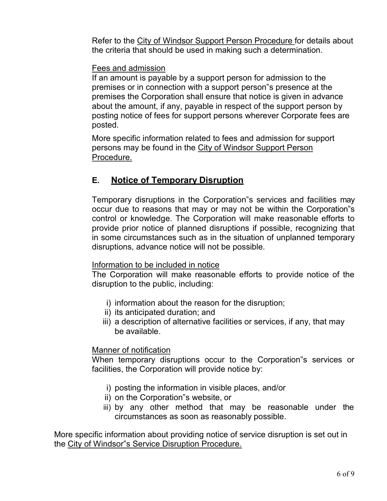Refer to the City of Windsor Support Person Procedure for details about the criteria that should be used in making such a determination.

### Fees and admission

If an amount is payable by a support person for admission to the premises or in connection with a support person"s presence at the premises the Corporation shall ensure that notice is given in advance about the amount, if any, payable in respect of the support person by posting notice of fees for support persons wherever Corporate fees are posted.

More specific information related to fees and admission for support persons may be found in the City of Windsor Support Person Procedure.

# **E. Notice of Temporary Disruption**

Temporary disruptions in the Corporation"s services and facilities may occur due to reasons that may or may not be within the Corporation"s control or knowledge. The Corporation will make reasonable efforts to provide prior notice of planned disruptions if possible, recognizing that in some circumstances such as in the situation of unplanned temporary disruptions, advance notice will not be possible.

#### Information to be included in notice

The Corporation will make reasonable efforts to provide notice of the disruption to the public, including:

- i) information about the reason for the disruption;
- ii) its anticipated duration; and
- iii) a description of alternative facilities or services, if any, that may be available.

#### Manner of notification

When temporary disruptions occur to the Corporation"s services or facilities, the Corporation will provide notice by:

- i) posting the information in visible places, and/or
- ii) on the Corporation"s website, or
- iii) by any other method that may be reasonable under the circumstances as soon as reasonably possible.

More specific information about providing notice of service disruption is set out in the City of Windsor"s Service Disruption Procedure.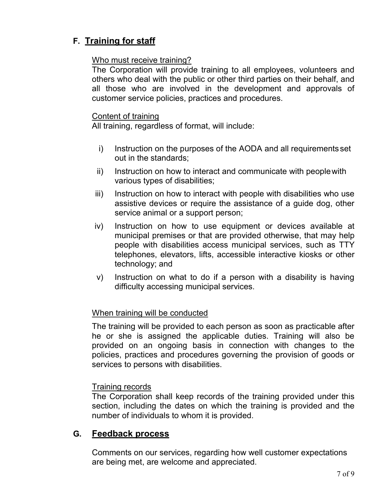# **F. Training for staff**

## Who must receive training?

The Corporation will provide training to all employees, volunteers and others who deal with the public or other third parties on their behalf, and all those who are involved in the development and approvals of customer service policies, practices and procedures.

#### Content of training

All training, regardless of format, will include:

- i) Instruction on the purposes of the AODA and all requirementsset out in the standards;
- ii) Instruction on how to interact and communicate with people with various types of disabilities;
- iii) Instruction on how to interact with people with disabilities who use assistive devices or require the assistance of a guide dog, other service animal or a support person;
- iv) Instruction on how to use equipment or devices available at municipal premises or that are provided otherwise, that may help people with disabilities access municipal services, such as TTY telephones, elevators, lifts, accessible interactive kiosks or other technology; and
- v) Instruction on what to do if a person with a disability is having difficulty accessing municipal services.

## When training will be conducted

The training will be provided to each person as soon as practicable after he or she is assigned the applicable duties. Training will also be provided on an ongoing basis in connection with changes to the policies, practices and procedures governing the provision of goods or services to persons with disabilities.

## Training records

The Corporation shall keep records of the training provided under this section, including the dates on which the training is provided and the number of individuals to whom it is provided.

## **G. Feedback process**

Comments on our services, regarding how well customer expectations are being met, are welcome and appreciated.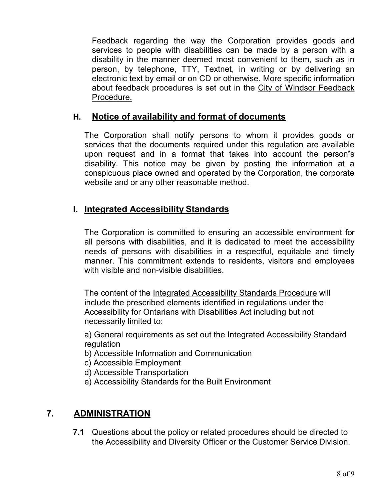Feedback regarding the way the Corporation provides goods and services to people with disabilities can be made by a person with a disability in the manner deemed most convenient to them, such as in person, by telephone, TTY, Textnet, in writing or by delivering an electronic text by email or on CD or otherwise. More specific information about feedback procedures is set out in the City of Windsor Feedback Procedure.

## **H. Notice of availability and format of documents**

The Corporation shall notify persons to whom it provides goods or services that the documents required under this regulation are available upon request and in a format that takes into account the person"s disability. This notice may be given by posting the information at a conspicuous place owned and operated by the Corporation, the corporate website and or any other reasonable method.

## **I. Integrated Accessibility Standards**

The Corporation is committed to ensuring an accessible environment for all persons with disabilities, and it is dedicated to meet the accessibility needs of persons with disabilities in a respectful, equitable and timely manner. This commitment extends to residents, visitors and employees with visible and non-visible disabilities.

The content of the Integrated Accessibility Standards Procedure will include the prescribed elements identified in regulations under the Accessibility for Ontarians with Disabilities Act including but not necessarily limited to:

a) General requirements as set out the Integrated Accessibility Standard regulation

- b) Accessible Information and Communication
- c) Accessible Employment
- d) Accessible Transportation
- e) Accessibility Standards for the Built Environment

## **7. ADMINISTRATION**

**7.1** Questions about the policy or related procedures should be directed to the Accessibility and Diversity Officer or the Customer Service Division.